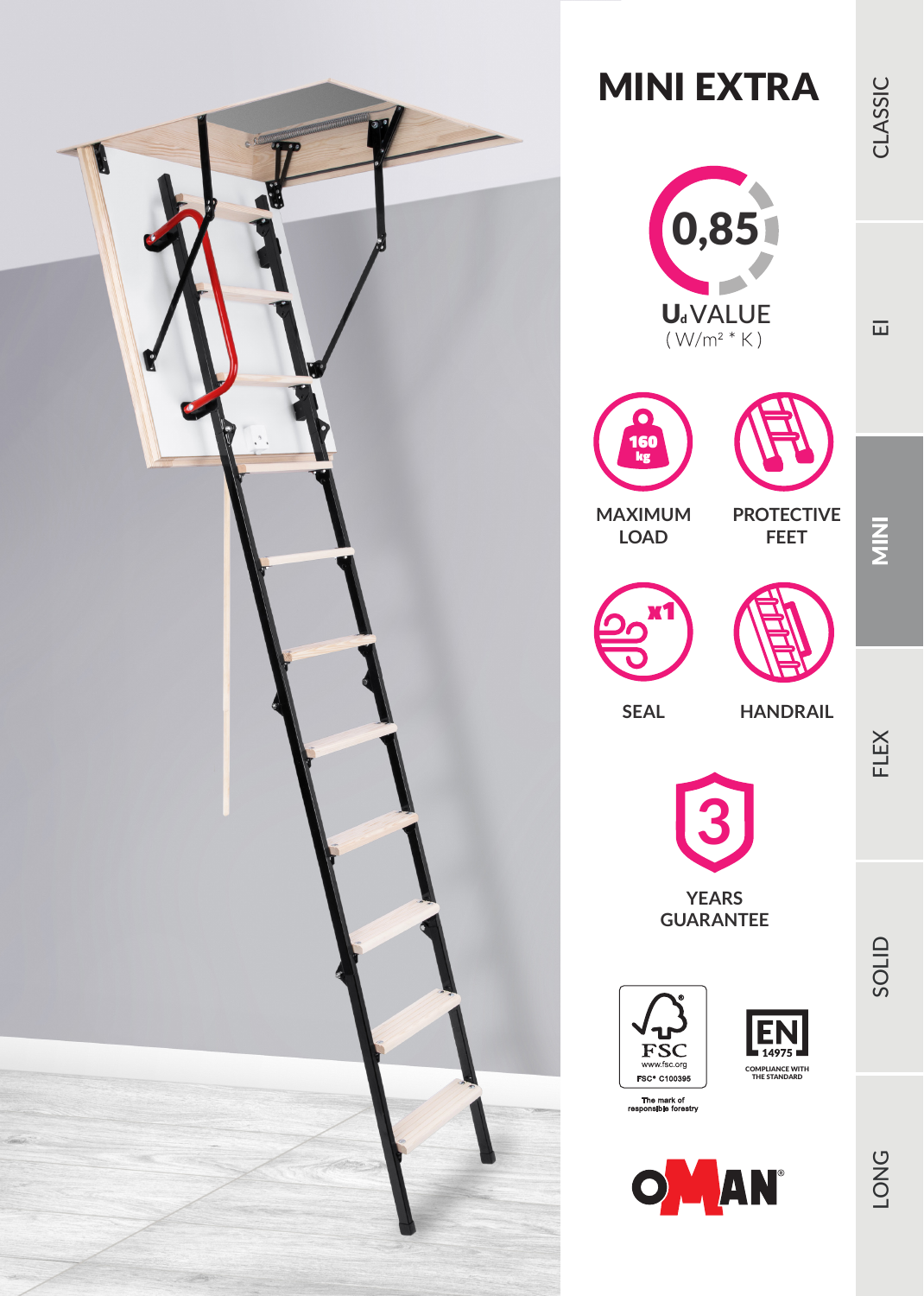

## MINI EXTRA





**PROTECTIVE FEET**



x1

**LOAD**

**SEAL HANDRAIL**

FLEX

 $\frac{z}{\Sigma}$ 



**YEARS GUARANTEE**







 $\overline{\mathbf{u}}$ 

SOLID